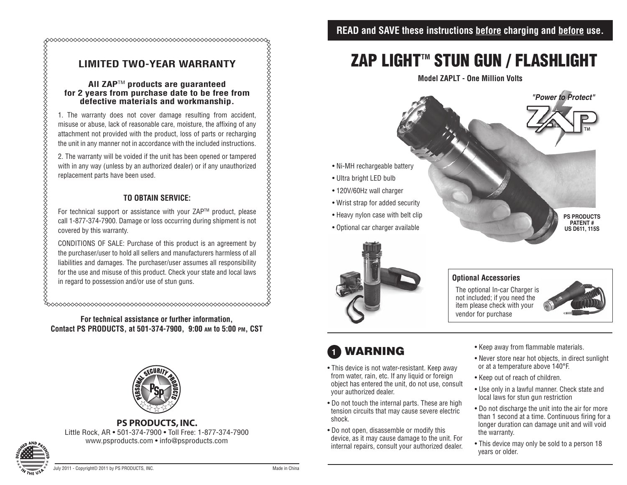## **LIMITED TWO-YEAR WARRANTY**

#### **All ZAP**TM **products are guaranteed for 2 years from purchase date to be free from defective materials and workmanship.**

1. The warranty does not cover damage resulting from accident, misuse or abuse, lack of reasonable care, moisture, the affixing of any attachment not provided with the product, loss of parts or recharging the unit in any manner not in accordance with the included instructions.

2. The warranty will be voided if the unit has been opened or tampered with in any way (unless by an authorized dealer) or if any unauthorized replacement parts have been used.

### **TO OBTAIN SERVICE:**

For technical support or assistance with your ZAP™ product, please call 1-877-374-7900. Damage or loss occurring during shipment is not covered by this warranty.

CONDITIONS OF SALE: Purchase of this product is an agreement by the purchaser/user to hold all sellers and manufacturers harmless of all liabilities and damages. The purchaser/user assumes all responsibility for the use and misuse of this product. Check your state and local laws in regard to possession and/or use of stun guns.

**For technical assistance or further information, Contact PS PRODUCTS, at 501-374-7900, 9:00 am to 5:00 pm, CST**



**PS PRODUCTS, INC.**  Little Rock, AR • 501-374-7900 • Toll Free: 1-877-374-7900 www.psproducts.com • info@psproducts.com

# **ZAP LIGHT™ STUN GUN / FLASHLIGHT**

**Model ZAPLT - One Million Volts**





#### **Optional Accessories**

The optional In-car Charger is not included; if you need the item please check with your vendor for purchase



## **1** warning

- This device is not water-resistant. Keep away from water, rain, etc. If any liquid or foreign object has entered the unit, do not use, consult your authorized dealer.
- Do not touch the internal parts. These are high tension circuits that may cause severe electric shock.
- Do not open, disassemble or modify this device, as it may cause damage to the unit. For internal repairs, consult your authorized dealer.
- Keep away from flammable materials.
- Never store near hot objects, in direct sunlight or at a temperature above 140°F.
- Keep out of reach of children.
- Use only in a lawful manner. Check state and local laws for stun gun restriction
- Do not discharge the unit into the air for more than 1 second at a time. Continuous firing for a longer duration can damage unit and will void the warranty.
- This device may only be sold to a person 18 years or older.